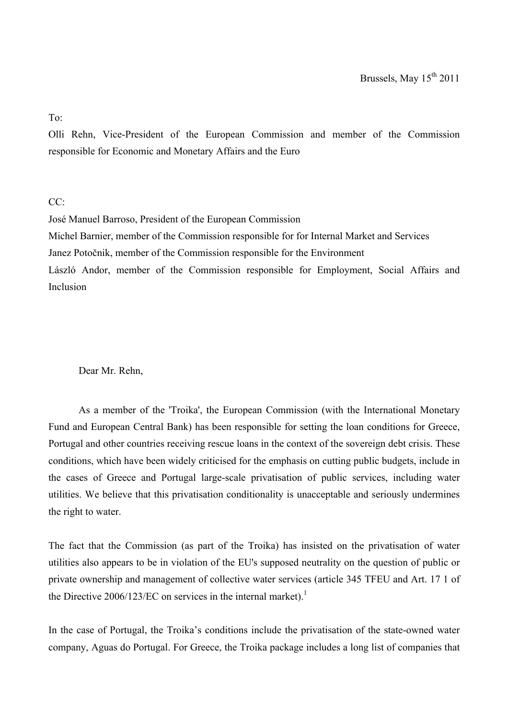To:

Olli Rehn, Vice-President of the European Commission and member of the Commission responsible for Economic and Monetary Affairs and the Euro

 $CC^{\cdot}$ 

José Manuel Barroso, President of the European Commission Michel Barnier, member of the Commission responsible for for Internal Market and Services Janez Potočnik, member of the Commission responsible for the Environment László Andor, member of the Commission responsible for Employment, Social Affairs and Inclusion

Dear Mr. Rehn,

As a member of the 'Troika', the European Commission (with the International Monetary Fund and European Central Bank) has been responsible for setting the loan conditions for Greece, Portugal and other countries receiving rescue loans in the context of the sovereign debt crisis. These conditions, which have been widely criticised for the emphasis on cutting public budgets, include in the cases of Greece and Portugal large-scale privatisation of public services, including water utilities. We believe that this privatisation conditionality is unacceptable and seriously undermines the right to water.

The fact that the Commission (as part of the Troika) has insisted on the privatisation of water utilities also appears to be in violation of the EU's supposed neutrality on the question of public or private ownership and management of collective water services (article 345 TFEU and Art. 17 1 of the Directive  $2006/123/EC$  on services in the internal market).<sup>1</sup>

In the case of Portugal, the Troika's conditions include the privatisation of the state-owned water company, Aguas do Portugal. For Greece, the Troika package includes a long list of companies that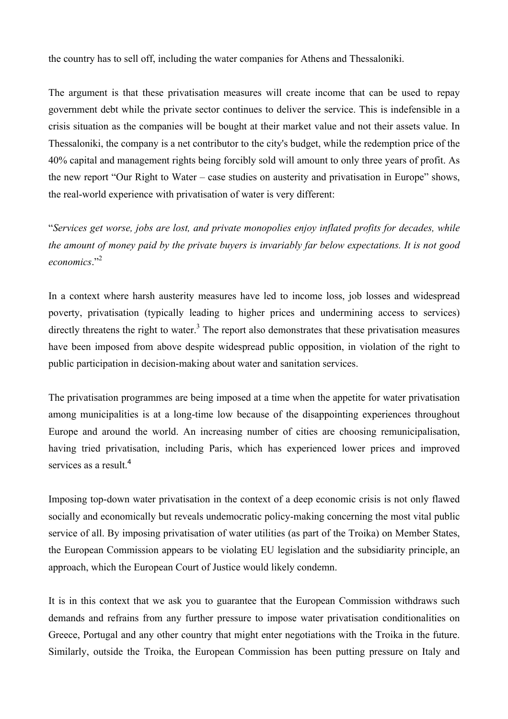the country has to sell off, including the water companies for Athens and Thessaloniki.

The argument is that these privatisation measures will create income that can be used to repay government debt while the private sector continues to deliver the service. This is indefensible in a crisis situation as the companies will be bought at their market value and not their assets value. In Thessaloniki, the company is a net contributor to the city's budget, while the redemption price of the 40% capital and management rights being forcibly sold will amount to only three years of profit. As the new report "Our Right to Water – case studies on austerity and privatisation in Europe" shows, the real-world experience with privatisation of water is very different:

"*Services get worse, jobs are lost, and private monopolies enjoy inflated profits for decades, while the amount of money paid by the private buyers is invariably far below expectations. It is not good economics*."2

In a context where harsh austerity measures have led to income loss, job losses and widespread poverty, privatisation (typically leading to higher prices and undermining access to services) directly threatens the right to water.<sup>3</sup> The report also demonstrates that these privatisation measures have been imposed from above despite widespread public opposition, in violation of the right to public participation in decision-making about water and sanitation services.

The privatisation programmes are being imposed at a time when the appetite for water privatisation among municipalities is at a long-time low because of the disappointing experiences throughout Europe and around the world. An increasing number of cities are choosing remunicipalisation, having tried privatisation, including Paris, which has experienced lower prices and improved services as a result.<sup>4</sup>

Imposing top-down water privatisation in the context of a deep economic crisis is not only flawed socially and economically but reveals undemocratic policy-making concerning the most vital public service of all. By imposing privatisation of water utilities (as part of the Troika) on Member States, the European Commission appears to be violating EU legislation and the subsidiarity principle, an approach, which the European Court of Justice would likely condemn.

It is in this context that we ask you to guarantee that the European Commission withdraws such demands and refrains from any further pressure to impose water privatisation conditionalities on Greece, Portugal and any other country that might enter negotiations with the Troika in the future. Similarly, outside the Troika, the European Commission has been putting pressure on Italy and